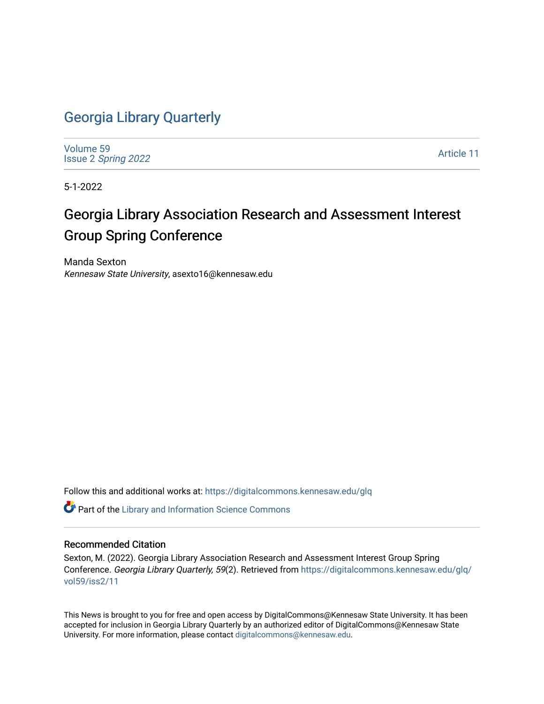## [Georgia Library Quarterly](https://digitalcommons.kennesaw.edu/glq)

[Volume 59](https://digitalcommons.kennesaw.edu/glq/vol59) Issue 2 [Spring 2022](https://digitalcommons.kennesaw.edu/glq/vol59/iss2) 

[Article 11](https://digitalcommons.kennesaw.edu/glq/vol59/iss2/11) 

5-1-2022

## Georgia Library Association Research and Assessment Interest Group Spring Conference

Manda Sexton Kennesaw State University, asexto16@kennesaw.edu

Follow this and additional works at: [https://digitalcommons.kennesaw.edu/glq](https://digitalcommons.kennesaw.edu/glq?utm_source=digitalcommons.kennesaw.edu%2Fglq%2Fvol59%2Fiss2%2F11&utm_medium=PDF&utm_campaign=PDFCoverPages) 

Part of the [Library and Information Science Commons](http://network.bepress.com/hgg/discipline/1018?utm_source=digitalcommons.kennesaw.edu%2Fglq%2Fvol59%2Fiss2%2F11&utm_medium=PDF&utm_campaign=PDFCoverPages) 

## Recommended Citation

Sexton, M. (2022). Georgia Library Association Research and Assessment Interest Group Spring Conference. Georgia Library Quarterly, 59(2). Retrieved from [https://digitalcommons.kennesaw.edu/glq/](https://digitalcommons.kennesaw.edu/glq/vol59/iss2/11?utm_source=digitalcommons.kennesaw.edu%2Fglq%2Fvol59%2Fiss2%2F11&utm_medium=PDF&utm_campaign=PDFCoverPages) [vol59/iss2/11](https://digitalcommons.kennesaw.edu/glq/vol59/iss2/11?utm_source=digitalcommons.kennesaw.edu%2Fglq%2Fvol59%2Fiss2%2F11&utm_medium=PDF&utm_campaign=PDFCoverPages) 

This News is brought to you for free and open access by DigitalCommons@Kennesaw State University. It has been accepted for inclusion in Georgia Library Quarterly by an authorized editor of DigitalCommons@Kennesaw State University. For more information, please contact [digitalcommons@kennesaw.edu.](mailto:digitalcommons@kennesaw.edu)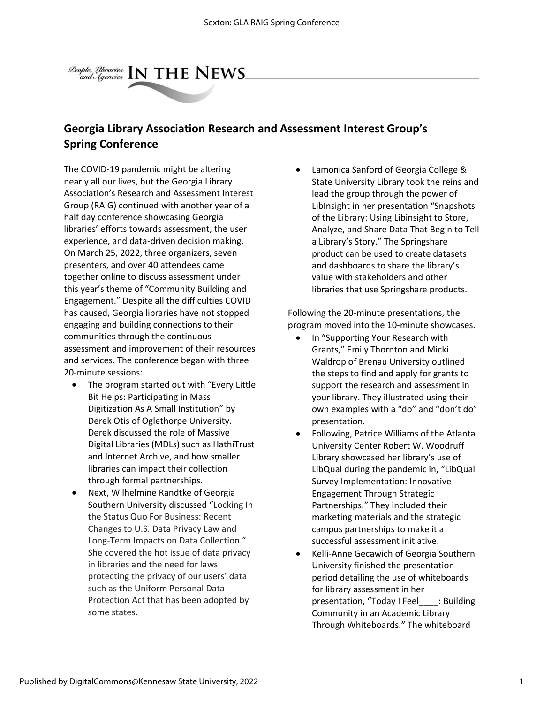

## **Georgia Library Association Research and Assessment Interest Group's Spring Conference**

The COVID-19 pandemic might be altering nearly all our lives, but the Georgia Library Association's Research and Assessment Interest Group (RAIG) continued with another year of a half day conference showcasing Georgia libraries' efforts towards assessment, the user experience, and data-driven decision making. On March 25, 2022, three organizers, seven presenters, and over 40 attendees came together online to discuss assessment under this year's theme of "Community Building and Engagement." Despite all the difficulties COVID has caused, Georgia libraries have not stopped engaging and building connections to their communities through the continuous assessment and improvement of their resources and services. The conference began with three 20-minute sessions:

- The program started out with "Every Little Bit Helps: Participating in Mass Digitization As A Small Institution" by Derek Otis of Oglethorpe University. Derek discussed the role of Massive Digital Libraries (MDLs) such as HathiTrust and Internet Archive, and how smaller libraries can impact their collection through formal partnerships.
- Next, Wilhelmine Randtke of Georgia Southern University discussed "Locking In the Status Quo For Business: Recent Changes to U.S. Data Privacy Law and Long-Term Impacts on Data Collection." She covered the hot issue of data privacy in libraries and the need for laws protecting the privacy of our users' data such as the Uniform Personal Data Protection Act that has been adopted by some states.

• Lamonica Sanford of Georgia College & State University Library took the reins and lead the group through the power of LibInsight in her presentation "Snapshots of the Library: Using Libinsight to Store, Analyze, and Share Data That Begin to Tell a Library's Story." The Springshare product can be used to create datasets and dashboards to share the library's value with stakeholders and other libraries that use Springshare products.

Following the 20-minute presentations, the program moved into the 10-minute showcases.

- In "Supporting Your Research with Grants," Emily Thornton and Micki Waldrop of Brenau University outlined the steps to find and apply for grants to support the research and assessment in your library. They illustrated using their own examples with a "do" and "don't do" presentation.
- Following, Patrice Williams of the Atlanta University Center Robert W. Woodruff Library showcased her library's use of LibQual during the pandemic in, "LibQual Survey Implementation: Innovative Engagement Through Strategic Partnerships." They included their marketing materials and the strategic campus partnerships to make it a successful assessment initiative.
- Kelli-Anne Gecawich of Georgia Southern University finished the presentation period detailing the use of whiteboards for library assessment in her presentation, "Today I Feel\_\_\_\_: Building Community in an Academic Library Through Whiteboards." The whiteboard